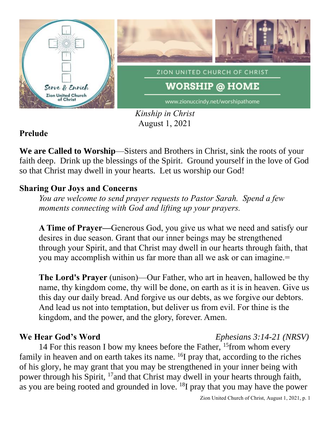

*Kinship in Christ* August 1, 2021

### **Prelude**

We are Called to Worship—Sisters and Brothers in Christ, sink the roots of your faith deep. Drink up the blessings of the Spirit. Ground yourself in the love of God so that Christ may dwell in your hearts. Let us worship our God!

#### **Sharing Our Joys and Concerns**

*You are welcome to send prayer requests to Pastor Sarah. Spend a few moments connecting with God and lifting up your prayers.*

**A Time of Prayer—**Generous God, you give us what we need and satisfy our desires in due season. Grant that our inner beings may be strengthened through your Spirit, and that Christ may dwell in our hearts through faith, that you may accomplish within us far more than all we ask or can imagine.=

**The Lord's Prayer** (unison)—Our Father, who art in heaven, hallowed be thy name, thy kingdom come, thy will be done, on earth as it is in heaven. Give us this day our daily bread. And forgive us our debts, as we forgive our debtors. And lead us not into temptation, but deliver us from evil. For thine is the kingdom, and the power, and the glory, forever. Amen.

## **We Hear God's Word** *Ephesians 3:14-21 (NRSV)*

14 For this reason I bow my knees before the Father, <sup>15</sup> from whom every family in heaven and on earth takes its name. <sup>16</sup>I pray that, according to the riches of his glory, he may grant that you may be strengthened in your inner being with power through his Spirit, <sup>17</sup>and that Christ may dwell in your hearts through faith, as you are being rooted and grounded in love. <sup>18</sup>I pray that you may have the power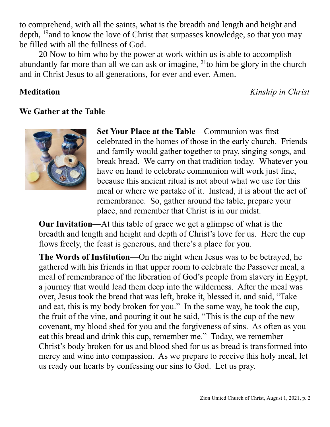to comprehend, with all the saints, what is the breadth and length and height and depth, <sup>19</sup> and to know the love of Christ that surpasses knowledge, so that you may be filled with all the fullness of God.

20 Now to him who by the power at work within us is able to accomplish abundantly far more than all we can ask or imagine,  $^{21}$  to him be glory in the church and in Christ Jesus to all generations, for ever and ever. Amen.

**Meditation** *Kinship in Christ*

#### **We Gather at the Table**



**Set Your Place at the Table**—Communion was first celebrated in the homes of those in the early church. Friends and family would gather together to pray, singing songs, and break bread. We carry on that tradition today. Whatever you have on hand to celebrate communion will work just fine, because this ancient ritual is not about what we use for this meal or where we partake of it. Instead, it is about the act of remembrance. So, gather around the table, prepare your place, and remember that Christ is in our midst.

**Our Invitation—**At this table of grace we get a glimpse of what is the breadth and length and height and depth of Christ's love for us. Here the cup flows freely, the feast is generous, and there's a place for you.

**The Words of Institution**—On the night when Jesus was to be betrayed, he gathered with his friends in that upper room to celebrate the Passover meal, a meal of remembrance of the liberation of God's people from slavery in Egypt, a journey that would lead them deep into the wilderness. After the meal was over, Jesus took the bread that was left, broke it, blessed it, and said, "Take and eat, this is my body broken for you." In the same way, he took the cup, the fruit of the vine, and pouring it out he said, "This is the cup of the new covenant, my blood shed for you and the forgiveness of sins. As often as you eat this bread and drink this cup, remember me." Today, we remember Christ's body broken for us and blood shed for us as bread is transformed into mercy and wine into compassion. As we prepare to receive this holy meal, let us ready our hearts by confessing our sins to God. Let us pray.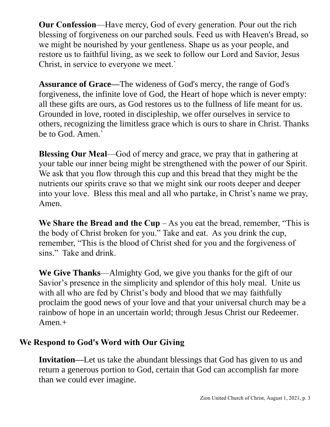**Our Confession**—Have mercy, God of every generation. Pour out the rich blessing of forgiveness on our parched souls. Feed us with Heaven's Bread, so we might be nourished by your gentleness. Shape us as your people, and restore us to faithful living, as we seek to follow our Lord and Savior, Jesus Christ, in service to everyone we meet.`

**Assurance of Grace—**The wideness of God's mercy, the range of God's forgiveness, the infinite love of God, the Heart of hope which is never empty: all these gifts are ours, as God restores us to the fullness of life meant for us. Grounded in love, rooted in discipleship, we offer ourselves in service to others, recognizing the limitless grace which is ours to share in Christ. Thanks be to God. Amen.`

**Blessing Our Meal**—God of mercy and grace, we pray that in gathering at your table our inner being might be strengthened with the power of our Spirit. We ask that you flow through this cup and this bread that they might be the nutrients our spirits crave so that we might sink our roots deeper and deeper into your love. Bless this meal and all who partake, in Christ's name we pray, Amen.

**We Share the Bread and the Cup**  $-$  As you eat the bread, remember, "This is the body of Christ broken for you." Take and eat. As you drink the cup, remember, "This is the blood of Christ shed for you and the forgiveness of sins." Take and drink.

**We Give Thanks**—Almighty God, we give you thanks for the gift of our Savior's presence in the simplicity and splendor of this holy meal. Unite us with all who are fed by Christ's body and blood that we may faithfully proclaim the good news of your love and that your universal church may be a rainbow of hope in an uncertain world; through Jesus Christ our Redeemer. Amen.+

### **We Respond to God's Word with Our Giving**

**Invitation—**Let us take the abundant blessings that God has given to us and return a generous portion to God, certain that God can accomplish far more than we could ever imagine.